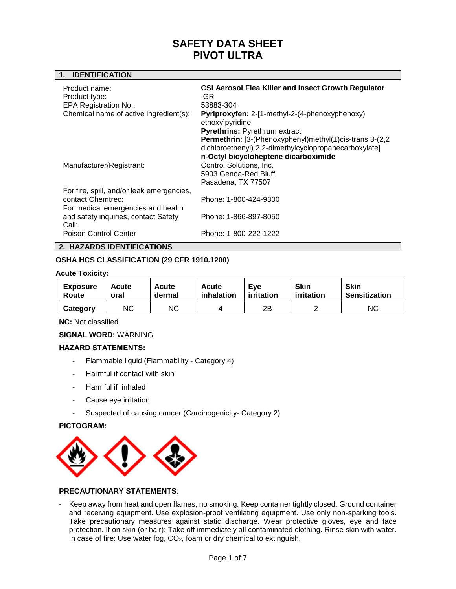## **1. IDENTIFICATION**

| Product name:<br>Product type:<br><b>EPA Registration No.:</b><br>Chemical name of active ingredient(s): | <b>CSI Aerosol Flea Killer and Insect Growth Regulator</b><br>IGR<br>53883-304<br>Pyriproxyfen: 2-[1-methyl-2-(4-phenoxyphenoxy)<br>ethoxy]pyridine<br>Pyrethrins: Pyrethrum extract<br><b>Permethrin:</b> [3-(Phenoxyphenyl)methyl $(\pm)$ cis-trans 3-(2,2)<br>dichloroethenyl) 2,2-dimethylcyclopropanecarboxylate]<br>n-Octyl bicycloheptene dicarboximide |
|----------------------------------------------------------------------------------------------------------|----------------------------------------------------------------------------------------------------------------------------------------------------------------------------------------------------------------------------------------------------------------------------------------------------------------------------------------------------------------|
| Manufacturer/Registrant:                                                                                 | Control Solutions, Inc.<br>5903 Genoa-Red Bluff<br>Pasadena, TX 77507                                                                                                                                                                                                                                                                                          |
| For fire, spill, and/or leak emergencies,<br>contact Chemtrec:<br>For medical emergencies and health     | Phone: 1-800-424-9300                                                                                                                                                                                                                                                                                                                                          |
| and safety inquiries, contact Safety<br>Call:                                                            | Phone: 1-866-897-8050                                                                                                                                                                                                                                                                                                                                          |
| Poison Control Center                                                                                    | Phone: 1-800-222-1222                                                                                                                                                                                                                                                                                                                                          |

# **2. HAZARDS IDENTIFICATIONS**

# **OSHA HCS CLASSIFICATION (29 CFR 1910.1200)**

#### **Acute Toxicity:**

| <b>Exposure</b> | Acute | Acute     | Acute      | Eve        | <b>Skin</b> | <b>Skin</b>   |
|-----------------|-------|-----------|------------|------------|-------------|---------------|
| Route           | oral  | dermal    | inhalation | irritation | irritation  | Sensitization |
| Category        | ΝC    | <b>NC</b> |            | 2Β         |             | ΝC            |

**NC:** Not classified

# **SIGNAL WORD:** WARNING

# **HAZARD STATEMENTS:**

- Flammable liquid (Flammability Category 4)
- Harmful if contact with skin
- Harmful if inhaled
- Cause eye irritation
- Suspected of causing cancer (Carcinogenicity- Category 2)

# **PICTOGRAM:**



# **PRECAUTIONARY STATEMENTS**:

- Keep away from heat and open flames, no smoking. Keep container tightly closed. Ground container and receiving equipment. Use explosion-proof ventilating equipment. Use only non-sparking tools. Take precautionary measures against static discharge. Wear protective gloves, eye and face protection. If on skin (or hair): Take off immediately all contaminated clothing. Rinse skin with water. In case of fire: Use water fog, CO<sub>2</sub>, foam or dry chemical to extinguish.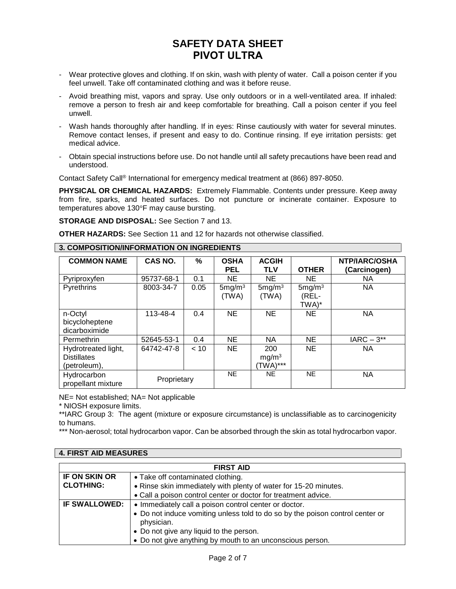- Wear protective gloves and clothing. If on skin, wash with plenty of water. Call a poison center if you feel unwell. Take off contaminated clothing and was it before reuse.
- Avoid breathing mist, vapors and spray. Use only outdoors or in a well-ventilated area. If inhaled: remove a person to fresh air and keep comfortable for breathing. Call a poison center if you feel unwell.
- Wash hands thoroughly after handling. If in eyes: Rinse cautiously with water for several minutes. Remove contact lenses, if present and easy to do. Continue rinsing. If eye irritation persists: get medical advice.
- Obtain special instructions before use. Do not handle until all safety precautions have been read and understood.

Contact Safety Call® International for emergency medical treatment at (866) 897-8050.

**PHYSICAL OR CHEMICAL HAZARDS:** Extremely Flammable. Contents under pressure. Keep away from fire, sparks, and heated surfaces. Do not puncture or incinerate container. Exposure to temperatures above 130°F may cause bursting.

**STORAGE AND DISPOSAL:** See Section 7 and 13.

**OTHER HAZARDS:** See Section 11 and 12 for hazards not otherwise classified.

| <b>COMMON NAME</b>  | CAS NO.     | %    | <b>OSHA</b>        | <b>ACGIH</b>       |                    | NTP/IARC/OSHA |
|---------------------|-------------|------|--------------------|--------------------|--------------------|---------------|
|                     |             |      | <b>PEL</b>         | <b>TLV</b>         | <b>OTHER</b>       | (Carcinogen)  |
| Pyriproxyfen        | 95737-68-1  | 0.1  | <b>NE</b>          | <b>NE</b>          | NE                 | NA.           |
| Pyrethrins          | 8003-34-7   | 0.05 | 5mg/m <sup>3</sup> | 5mg/m <sup>3</sup> | 5mg/m <sup>3</sup> | <b>NA</b>     |
|                     |             |      | (TWA)              | (TWA)              | (REL-              |               |
|                     |             |      |                    |                    | TWA)*              |               |
| n-Octyl             | 113-48-4    | 0.4  | <b>NE</b>          | <b>NE</b>          | <b>NE</b>          | <b>NA</b>     |
| bicycloheptene      |             |      |                    |                    |                    |               |
| dicarboximide       |             |      |                    |                    |                    |               |
| Permethrin          | 52645-53-1  | 0.4  | <b>NE</b>          | <b>NA</b>          | <b>NE</b>          | $IARC - 3**$  |
| Hydrotreated light, | 64742-47-8  | < 10 | NE.                | 200                | <b>NE</b>          | <b>NA</b>     |
| <b>Distillates</b>  |             |      |                    | mg/m <sup>3</sup>  |                    |               |
| (petroleum),        |             |      |                    | $(TWA)***$         |                    |               |
| Hydrocarbon         | Proprietary |      | <b>NE</b>          | <b>NE</b>          | <b>NE</b>          | <b>NA</b>     |
| propellant mixture  |             |      |                    |                    |                    |               |

# **3. COMPOSITION/INFORMATION ON INGREDIENTS**

NE= Not established; NA= Not applicable

\* NIOSH exposure limits.

\*\*IARC Group 3: The agent (mixture or exposure circumstance) is unclassifiable as to carcinogenicity to humans.

\*\*\* Non-aerosol; total hydrocarbon vapor. Can be absorbed through the skin as total hydrocarbon vapor.

# **4. FIRST AID MEASURES**

| <b>FIRST AID</b>     |                                                                               |  |  |  |
|----------------------|-------------------------------------------------------------------------------|--|--|--|
| IF ON SKIN OR        | • Take off contaminated clothing.                                             |  |  |  |
| <b>CLOTHING:</b>     | • Rinse skin immediately with plenty of water for 15-20 minutes.              |  |  |  |
|                      | • Call a poison control center or doctor for treatment advice.                |  |  |  |
| <b>IF SWALLOWED:</b> | • Immediately call a poison control center or doctor.                         |  |  |  |
|                      | • Do not induce vomiting unless told to do so by the poison control center or |  |  |  |
|                      | physician.                                                                    |  |  |  |
|                      | • Do not give any liquid to the person.                                       |  |  |  |
|                      | • Do not give anything by mouth to an unconscious person.                     |  |  |  |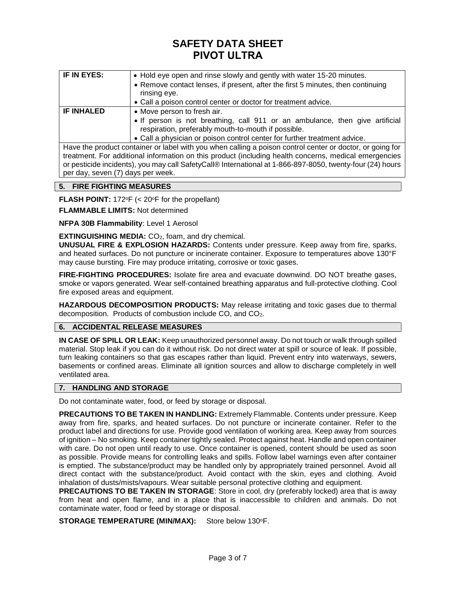| IF IN EYES:       | • Hold eye open and rinse slowly and gently with water 15-20 minutes.                                     |  |  |  |  |  |  |
|-------------------|-----------------------------------------------------------------------------------------------------------|--|--|--|--|--|--|
|                   | • Remove contact lenses, if present, after the first 5 minutes, then continuing<br>rinsing eye.           |  |  |  |  |  |  |
|                   |                                                                                                           |  |  |  |  |  |  |
|                   | • Call a poison control center or doctor for treatment advice.                                            |  |  |  |  |  |  |
| <b>IF INHALED</b> | • Move person to fresh air.                                                                               |  |  |  |  |  |  |
|                   | • If person is not breathing, call 911 or an ambulance, then give artificial                              |  |  |  |  |  |  |
|                   | respiration, preferably mouth-to-mouth if possible.                                                       |  |  |  |  |  |  |
|                   | • Call a physician or poison control center for further treatment advice.                                 |  |  |  |  |  |  |
|                   | Have the product container or label with you when calling a poison control center or doctor, or going for |  |  |  |  |  |  |
|                   | treatment. For additional information on this product (including health concerns, medical emergencies     |  |  |  |  |  |  |

treatment. For additional information on this product (including health concerns, medical emergencies or pesticide incidents), you may call SafetyCall® International at 1-866-897-8050, twenty-four (24) hours per day, seven (7) days per week.

# **5. FIRE FIGHTING MEASURES**

**FLASH POINT:**  $172^\circ F$  (<  $20^\circ F$  for the propellant)

**FLAMMABLE LIMITS:** Not determined

**NFPA 30B Flammability**: Level 1 Aerosol

**EXTINGUISHING MEDIA:** CO<sub>2</sub>, foam, and dry chemical.

**UNUSUAL FIRE & EXPLOSION HAZARDS:** Contents under pressure. Keep away from fire, sparks, and heated surfaces. Do not puncture or incinerate container. Exposure to temperatures above 130°F may cause bursting. Fire may produce irritating, corrosive or toxic gases.

**FIRE-FIGHTING PROCEDURES:** Isolate fire area and evacuate downwind. DO NOT breathe gases, smoke or vapors generated. Wear self-contained breathing apparatus and full-protective clothing. Cool fire exposed areas and equipment.

**HAZARDOUS DECOMPOSITION PRODUCTS:** May release irritating and toxic gases due to thermal decomposition. Products of combustion include CO, and CO2.

# **6. ACCIDENTAL RELEASE MEASURES**

**IN CASE OF SPILL OR LEAK:** Keep unauthorized personnel away. Do not touch or walk through spilled material. Stop leak if you can do it without risk. Do not direct water at spill or source of leak. If possible, turn leaking containers so that gas escapes rather than liquid. Prevent entry into waterways, sewers, basements or confined areas. Eliminate all ignition sources and allow to discharge completely in well ventilated area.

# **7. HANDLING AND STORAGE**

Do not contaminate water, food, or feed by storage or disposal.

**PRECAUTIONS TO BE TAKEN IN HANDLING:** Extremely Flammable. Contents under pressure. Keep away from fire, sparks, and heated surfaces. Do not puncture or incinerate container. Refer to the product label and directions for use. Provide good ventilation of working area. Keep away from sources of ignition – No smoking. Keep container tightly sealed. Protect against heat. Handle and open container with care. Do not open until ready to use. Once container is opened, content should be used as soon as possible. Provide means for controlling leaks and spills. Follow label warnings even after container is emptied. The substance/product may be handled only by appropriately trained personnel. Avoid all direct contact with the substance/product. Avoid contact with the skin, eyes and clothing. Avoid inhalation of dusts/mists/vapours. Wear suitable personal protective clothing and equipment.

**PRECAUTIONS TO BE TAKEN IN STORAGE:** Store in cool, dry (preferably locked) area that is away from heat and open flame, and in a place that is inaccessible to children and animals. Do not contaminate water, food or feed by storage or disposal.

**STORAGE TEMPERATURE (MIN/MAX):** Store below 130°F.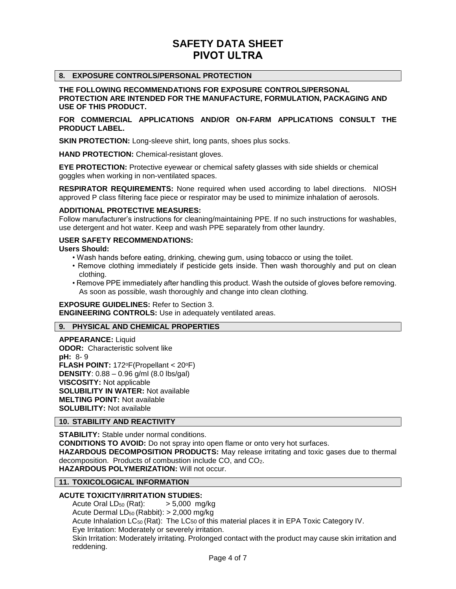# **8. EXPOSURE CONTROLS/PERSONAL PROTECTION**

**THE FOLLOWING RECOMMENDATIONS FOR EXPOSURE CONTROLS/PERSONAL PROTECTION ARE INTENDED FOR THE MANUFACTURE, FORMULATION, PACKAGING AND USE OF THIS PRODUCT.**

**FOR COMMERCIAL APPLICATIONS AND/OR ON-FARM APPLICATIONS CONSULT THE PRODUCT LABEL.**

**SKIN PROTECTION:** Long-sleeve shirt, long pants, shoes plus socks.

**HAND PROTECTION:** Chemical-resistant gloves.

**EYE PROTECTION:** Protective eyewear or chemical safety glasses with side shields or chemical goggles when working in non-ventilated spaces.

**RESPIRATOR REQUIREMENTS:** None required when used according to label directions. NIOSH approved P class filtering face piece or respirator may be used to minimize inhalation of aerosols.

#### **ADDITIONAL PROTECTIVE MEASURES:**

Follow manufacturer's instructions for cleaning/maintaining PPE. If no such instructions for washables, use detergent and hot water. Keep and wash PPE separately from other laundry.

#### **USER SAFETY RECOMMENDATIONS:**

**Users Should:**

- Wash hands before eating, drinking, chewing gum, using tobacco or using the toilet.
- Remove clothing immediately if pesticide gets inside. Then wash thoroughly and put on clean clothing.
- Remove PPE immediately after handling this product. Wash the outside of gloves before removing. As soon as possible, wash thoroughly and change into clean clothing.

**EXPOSURE GUIDELINES:** Refer to Section 3. **ENGINEERING CONTROLS:** Use in adequately ventilated areas.

# **9. PHYSICAL AND CHEMICAL PROPERTIES**

**APPEARANCE:** Liquid **ODOR:** Characteristic solvent like **pH:** 8- 9 **FLASH POINT: 172°F(Propellant < 20°F) DENSITY**: 0.88 – 0.96 g/ml (8.0 lbs/gal) **VISCOSITY:** Not applicable **SOLUBILITY IN WATER:** Not available **MELTING POINT:** Not available **SOLUBILITY:** Not available

# **10. STABILITY AND REACTIVITY**

**STABILITY:** Stable under normal conditions. **CONDITIONS TO AVOID:** Do not spray into open flame or onto very hot surfaces. **HAZARDOUS DECOMPOSITION PRODUCTS:** May release irritating and toxic gases due to thermal decomposition. Products of combustion include CO, and CO2. **HAZARDOUS POLYMERIZATION:** Will not occur.

# **11. TOXICOLOGICAL INFORMATION**

# **ACUTE TOXICITY/IRRITATION STUDIES:**

Acute Oral  $LD_{50}$  (Rat):  $> 5,000$  mg/kg Acute Dermal LD<sup>50</sup> (Rabbit): > 2,000 mg/kg Acute Inhalation LC<sup>50</sup> (Rat): The LC50 of this material places it in EPA Toxic Category IV. Eye Irritation: Moderately or severely irritation. Skin Irritation: Moderately irritating. Prolonged contact with the product may cause skin irritation and reddening.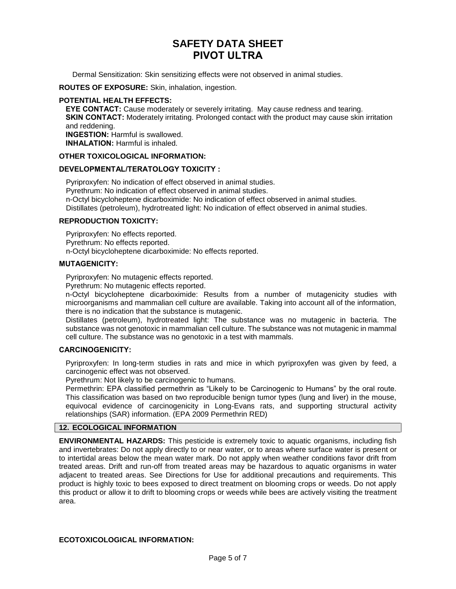Dermal Sensitization: Skin sensitizing effects were not observed in animal studies.

**ROUTES OF EXPOSURE:** Skin, inhalation, ingestion.

#### **POTENTIAL HEALTH EFFECTS:**

**EYE CONTACT:** Cause moderately or severely irritating. May cause redness and tearing. **SKIN CONTACT:** Moderately irritating. Prolonged contact with the product may cause skin irritation and reddening. **INGESTION:** Harmful is swallowed. **INHALATION:** Harmful is inhaled.

#### **OTHER TOXICOLOGICAL INFORMATION:**

#### **DEVELOPMENTAL/TERATOLOGY TOXICITY :**

Pyriproxyfen: No indication of effect observed in animal studies. Pyrethrum: No indication of effect observed in animal studies. n-Octyl bicycloheptene dicarboximide: No indication of effect observed in animal studies. Distillates (petroleum), hydrotreated light: No indication of effect observed in animal studies.

# **REPRODUCTION TOXICITY:**

Pyriproxyfen: No effects reported. Pyrethrum: No effects reported. n-Octyl bicycloheptene dicarboximide: No effects reported.

#### **MUTAGENICITY:**

Pyriproxyfen: No mutagenic effects reported.

Pyrethrum: No mutagenic effects reported.

n-Octyl bicycloheptene dicarboximide: Results from a number of mutagenicity studies with microorganisms and mammalian cell culture are available. Taking into account all of the information, there is no indication that the substance is mutagenic.

Distillates (petroleum), hydrotreated light: The substance was no mutagenic in bacteria. The substance was not genotoxic in mammalian cell culture. The substance was not mutagenic in mammal cell culture. The substance was no genotoxic in a test with mammals.

# **CARCINOGENICITY:**

Pyriproxyfen: In long-term studies in rats and mice in which pyriproxyfen was given by feed, a carcinogenic effect was not observed.

Pyrethrum: Not likely to be carcinogenic to humans.

Permethrin: EPA classified permethrin as "Likely to be Carcinogenic to Humans" by the oral route. This classification was based on two reproducible benign tumor types (lung and liver) in the mouse, equivocal evidence of carcinogenicity in Long-Evans rats, and supporting structural activity relationships (SAR) information. (EPA 2009 Permethrin RED)

# **12. ECOLOGICAL INFORMATION**

**ENVIRONMENTAL HAZARDS:** This pesticide is extremely toxic to aquatic organisms, including fish and invertebrates: Do not apply directly to or near water, or to areas where surface water is present or to intertidal areas below the mean water mark. Do not apply when weather conditions favor drift from treated areas. Drift and run-off from treated areas may be hazardous to aquatic organisms in water adjacent to treated areas. See Directions for Use for additional precautions and requirements. This product is highly toxic to bees exposed to direct treatment on blooming crops or weeds. Do not apply this product or allow it to drift to blooming crops or weeds while bees are actively visiting the treatment area.

# **ECOTOXICOLOGICAL INFORMATION:**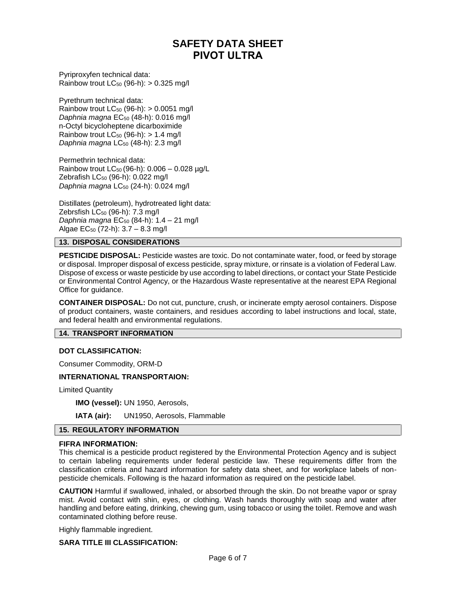Pyriproxyfen technical data: Rainbow trout  $LC_{50}$  (96-h):  $> 0.325$  mg/l

Pyrethrum technical data: Rainbow trout  $LC_{50}$  (96-h):  $> 0.0051$  mg/l *Daphnia magna* EC<sup>50</sup> (48-h): 0.016 mg/l n-Octyl bicycloheptene dicarboximide Rainbow trout  $LC_{50}$  (96-h): > 1.4 mg/l *Daphnia magna* LC<sup>50</sup> (48-h): 2.3 mg/l

Permethrin technical data: Rainbow trout  $LC_{50}$  (96-h):  $0.006 - 0.028$  µg/L Zebrafish LC<sup>50</sup> (96-h): 0.022 mg/l *Daphnia magna* LC<sup>50</sup> (24-h): 0.024 mg/l

Distillates (petroleum), hydrotreated light data: Zebrsfish LC<sub>50</sub> (96-h): 7.3 mg/l *Daphnia magna* EC<sub>50</sub> (84-h): 1.4 - 21 mg/l Algae EC<sup>50</sup> (72-h): 3.7 – 8.3 mg/l

# **13. DISPOSAL CONSIDERATIONS**

**PESTICIDE DISPOSAL:** Pesticide wastes are toxic. Do not contaminate water, food, or feed by storage or disposal. Improper disposal of excess pesticide, spray mixture, or rinsate is a violation of Federal Law. Dispose of excess or waste pesticide by use according to label directions, or contact your State Pesticide or Environmental Control Agency, or the Hazardous Waste representative at the nearest EPA Regional Office for guidance.

**CONTAINER DISPOSAL:** Do not cut, puncture, crush, or incinerate empty aerosol containers. Dispose of product containers, waste containers, and residues according to label instructions and local, state, and federal health and environmental regulations.

# **14. TRANSPORT INFORMATION**

# **DOT CLASSIFICATION:**

Consumer Commodity, ORM-D

# **INTERNATIONAL TRANSPORTAION:**

Limited Quantity

**IMO (vessel):** UN 1950, Aerosols,

**IATA (air):** UN1950, Aerosols, Flammable

# **15. REGULATORY INFORMATION**

# **FIFRA INFORMATION:**

This chemical is a pesticide product registered by the Environmental Protection Agency and is subject to certain labeling requirements under federal pesticide law. These requirements differ from the classification criteria and hazard information for safety data sheet, and for workplace labels of nonpesticide chemicals. Following is the hazard information as required on the pesticide label.

**CAUTION** Harmful if swallowed, inhaled, or absorbed through the skin. Do not breathe vapor or spray mist. Avoid contact with shin, eyes, or clothing. Wash hands thoroughly with soap and water after handling and before eating, drinking, chewing gum, using tobacco or using the toilet. Remove and wash contaminated clothing before reuse.

Highly flammable ingredient.

# **SARA TITLE III CLASSIFICATION:**